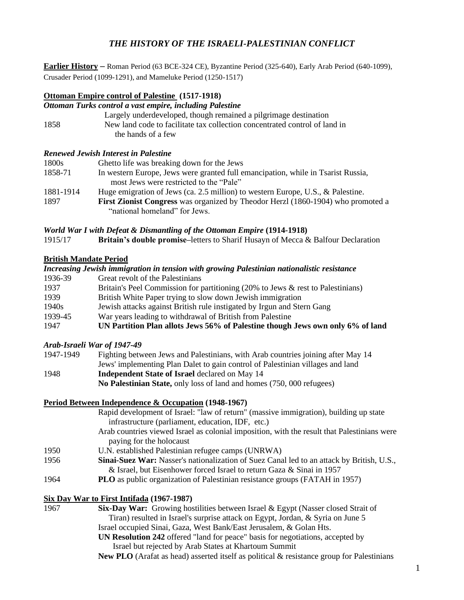# *THE HISTORY OF THE ISRAELI-PALESTINIAN CONFLICT*

**Earlier History** ‒ Roman Period (63 BCE-324 CE), Byzantine Period (325-640), Early Arab Period (640-1099), Crusader Period (1099-1291), and Mameluke Period (1250-1517)

### **Ottoman Empire control of Palestine (1517-1918)**

*Ottoman Turks control a vast empire, including Palestine* 

|      | Largely underdeveloped, though remained a pilgrimage destination           |
|------|----------------------------------------------------------------------------|
| 1858 | New land code to facilitate tax collection concentrated control of land in |
|      | the hands of a few                                                         |

#### *Renewed Jewish Interest in Palestine*

| 1800s     | Ghetto life was breaking down for the Jews                                              |
|-----------|-----------------------------------------------------------------------------------------|
| 1858-71   | In western Europe, Jews were granted full emancipation, while in Tsarist Russia,        |
|           | most Jews were restricted to the "Pale"                                                 |
| 1881-1914 | Huge emigration of Jews (ca. 2.5 million) to western Europe, U.S., & Palestine.         |
| 1897      | <b>First Zionist Congress</b> was organized by Theodor Herzl (1860-1904) who promoted a |
|           | "national homeland" for Jews.                                                           |

#### *World War I with Defeat & Dismantling of the Ottoman Empire* **(1914-1918)**

1915/17 **Britain's double promise–letters to Sharif Husayn of Mecca & Balfour Declaration** 

#### **British Mandate Period**

|                   | Increasing Jewish immigration in tension with growing Palestinian nationalistic resistance |
|-------------------|--------------------------------------------------------------------------------------------|
| 1936-39           | Great revolt of the Palestinians                                                           |
| 1937              | Britain's Peel Commission for partitioning (20% to Jews & rest to Palestinians)            |
| 1939              | British White Paper trying to slow down Jewish immigration                                 |
| 1940 <sub>s</sub> | Jewish attacks against British rule instigated by Irgun and Stern Gang                     |
| 1939-45           | War years leading to withdrawal of British from Palestine                                  |
| 1947              | UN Partition Plan allots Jews 56% of Palestine though Jews own only 6% of land             |

## *Arab-Israeli War of 1947-49*

| 1947-1949 | Fighting between Jews and Palestinians, with Arab countries joining after May 14 |
|-----------|----------------------------------------------------------------------------------|
|           | Jews' implementing Plan Dalet to gain control of Palestinian villages and land   |
| 1948      | <b>Independent State of Israel</b> declared on May 14                            |
|           | No Palestinian State, only loss of land and homes (750, 000 refugees)            |

## **Period Between Independence & Occupation (1948-1967)**

|      | Rapid development of Israel: "law of return" (massive immigration), building up state            |
|------|--------------------------------------------------------------------------------------------------|
|      | infrastructure (parliament, education, IDF, etc.)                                                |
|      | Arab countries viewed Israel as colonial imposition, with the result that Palestinians were      |
|      | paying for the holocaust                                                                         |
| 1950 | U.N. established Palestinian refugee camps (UNRWA)                                               |
| 1956 | <b>Sinai-Suez War:</b> Nasser's nationalization of Suez Canal led to an attack by British, U.S., |
|      | & Israel, but Eisenhower forced Israel to return Gaza & Sinai in 1957                            |
| 1964 | <b>PLO</b> as public organization of Palestinian resistance groups (FATAH in 1957)               |
|      |                                                                                                  |

## **Six Day War to First Intifada (1967-1987)**

| 1967 | <b>Six-Day War:</b> Growing hostilities between Israel & Egypt (Nasser closed Strait of |
|------|-----------------------------------------------------------------------------------------|
|      | Tiran) resulted in Israel's surprise attack on Egypt, Jordan, & Syria on June 5         |
|      | Israel occupied Sinai, Gaza, West Bank/East Jerusalem, & Golan Hts.                     |

**UN Resolution 242** offered "land for peace" basis for negotiations, accepted by Israel but rejected by Arab States at Khartoum Summit

**New PLO** (Arafat as head) asserted itself as political & resistance group for Palestinians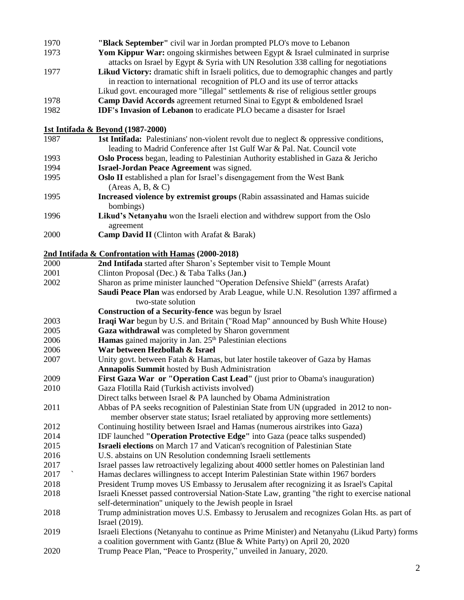| 1970 | "Black September" civil war in Jordan prompted PLO's move to Lebanon                             |
|------|--------------------------------------------------------------------------------------------------|
| 1973 | Yom Kippur War: ongoing skirmishes between Egypt & Israel culminated in surprise                 |
|      | attacks on Israel by Egypt & Syria with UN Resolution 338 calling for negotiations               |
| 1977 | Likud Victory: dramatic shift in Israeli politics, due to demographic changes and partly         |
|      | in reaction to international recognition of PLO and its use of terror attacks                    |
|      | Likud govt. encouraged more "illegal" settlements & rise of religious settler groups             |
| 1978 | Camp David Accords agreement returned Sinai to Egypt & emboldened Israel                         |
| 1982 | IDF's Invasion of Lebanon to eradicate PLO became a disaster for Israel                          |
|      |                                                                                                  |
|      | <b>1st Intifada &amp; Beyond (1987-2000)</b>                                                     |
| 1987 | <b>1st Intifada:</b> Palestinians' non-violent revolt due to neglect $\&$ oppressive conditions, |
|      | leading to Madrid Conference after 1st Gulf War & Pal. Nat. Council vote                         |
| 1993 | Oslo Process began, leading to Palestinian Authority established in Gaza & Jericho               |
| 1994 | Israel-Jordan Peace Agreement was signed.                                                        |
| 1995 | <b>Oslo II</b> established a plan for Israel's disengagement from the West Bank                  |
|      | (Areas A, B, & C)                                                                                |
| 1995 | Increased violence by extremist groups (Rabin assassinated and Hamas suicide<br>bombings)        |
| 1996 | Likud's Netanyahu won the Israeli election and withdrew support from the Oslo                    |
|      | agreement                                                                                        |
| 2000 | Camp David II (Clinton with Arafat & Barak)                                                      |
|      | 2nd Intifada & Confrontation with Hamas (2000-2018)                                              |
| 2000 | 2nd Intifada started after Sharon's September visit to Temple Mount                              |
| 2001 | Clinton Proposal (Dec.) & Taba Talks (Jan.)                                                      |
| 2002 | Sharon as prime minister launched "Operation Defensive Shield" (arrests Arafat)                  |
|      | Saudi Peace Plan was endorsed by Arab League, while U.N. Resolution 1397 affirmed a              |
|      | two-state solution                                                                               |
|      | Construction of a Security-fence was begun by Israel                                             |
| 2003 | Iraqi War begun by U.S. and Britain ("Road Map" announced by Bush White House)                   |
| 2005 | Gaza withdrawal was completed by Sharon government                                               |
| 2006 | <b>Hamas</b> gained majority in Jan. 25 <sup>th</sup> Palestinian elections                      |
| 2006 | War between Hezbollah & Israel                                                                   |
| 2007 | Unity govt. between Fatah & Hamas, but later hostile takeover of Gaza by Hamas                   |
|      | <b>Annapolis Summit</b> hosted by Bush Administration                                            |
| 2009 | First Gaza War or "Operation Cast Lead" (just prior to Obama's inauguration)                     |
| 2010 | Gaza Flotilla Raid (Turkish activists involved)                                                  |
|      | Direct talks between Israel & PA launched by Obama Administration                                |
| 2011 | Abbas of PA seeks recognition of Palestinian State from UN (upgraded in 2012 to non-             |
|      | member observer state status; Israel retaliated by approving more settlements)                   |
| 2012 | Continuing hostility between Israel and Hamas (numerous airstrikes into Gaza)                    |
| 2014 | IDF launched "Operation Protective Edge" into Gaza (peace talks suspended)                       |
| 2015 | Israeli elections on March 17 and Vatican's recognition of Palestinian State                     |
| 2016 | U.S. abstains on UN Resolution condemning Israeli settlements                                    |
| 2017 | Israel passes law retroactively legalizing about 4000 settler homes on Palestinian land          |
| 2017 | Hamas declares willingness to accept Interim Palestinian State within 1967 borders               |
| 2018 | President Trump moves US Embassy to Jerusalem after recognizing it as Israel's Capital           |
| 2018 | Israeli Knesset passed controversial Nation-State Law, granting "the right to exercise national  |
|      | self-determination" uniquely to the Jewish people in Israel                                      |
| 2018 | Trump administration moves U.S. Embassy to Jerusalem and recognizes Golan Hts. as part of        |
|      | Israel (2019).                                                                                   |
| 2019 | Israeli Elections (Netanyahu to continue as Prime Minister) and Netanyahu (Likud Party) forms    |
|      | a coalition government with Gantz (Blue & White Party) on April 20, 2020                         |
| 2020 | Trump Peace Plan, "Peace to Prosperity," unveiled in January, 2020.                              |
|      |                                                                                                  |